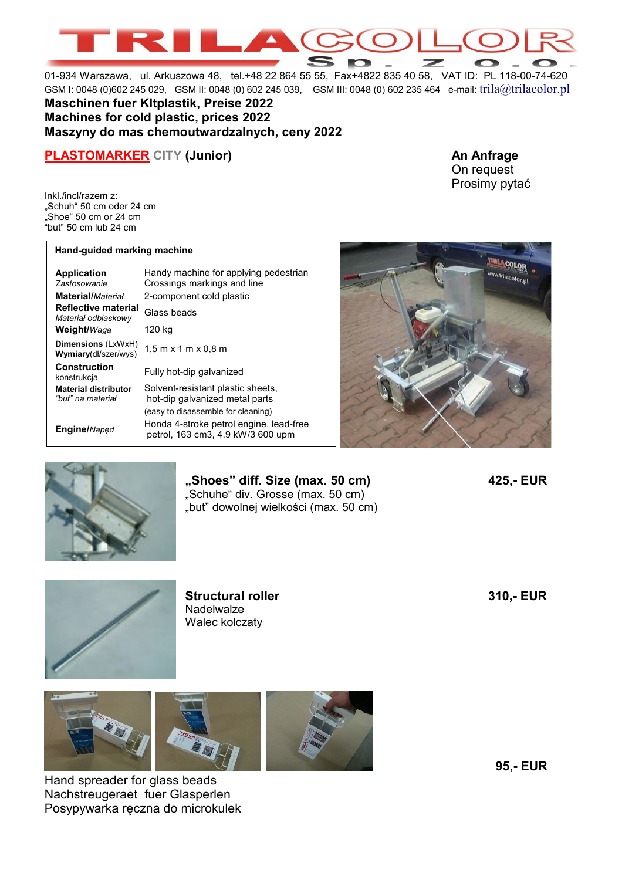01-934 Warszawa, ul. Arkuszowa 48, tel.+48 22 864 55 55, Fax+4822 835 40 58, VAT ID: PL 118-00-74-620 GSM I: 0048 (0)602 245 029, GSM II: 0048 (0) 602 245 039, GSM III: 0048 (0) 602 235 464 e-mail: trila@trilacolor.pl

## **Maschinen fuer Kltplastik, Preise 2022 Machines for cold plastic, prices 2022 Maszyny do mas chemoutwardzalnych, ceny 2022**

## **PLASTOMARKER CITY (Junior)** An Anfrage

Inkl./incl/razem z: "Schuh" 50 cm oder 24 cm "Shoe" 50 cm or 24 cm "but" 50 cm lub 24 cm

## **Hand-guided marking machine**

| <b>Application</b><br>Zastosowanie<br><b>Material/Material</b> | Handy machine for applying pedestrian<br>Crossings markings and line<br>2-component cold plastic |
|----------------------------------------------------------------|--------------------------------------------------------------------------------------------------|
| <b>Reflective material</b><br>Materiał odblaskowy              | Glass beads                                                                                      |
| Weight/Waga                                                    | 120 kg                                                                                           |
| Dimensions (LxWxH)<br><b>Wymiary</b> (dł/szer/wys)             | $1.5$ m x 1 m x 0.8 m                                                                            |
| <b>Construction</b><br>konstrukcja                             | Fully hot-dip galvanized                                                                         |
| <b>Material distributor</b><br>"but" na materiał               | Solvent-resistant plastic sheets,<br>hot-dip galvanized metal parts                              |
|                                                                | (easy to disassemble for cleaning)                                                               |
| Engine/Naped                                                   | Honda 4-stroke petrol engine, lead-free<br>petrol, 163 cm3, 4.9 kW/3 600 upm                     |



On request Prosimy pytać



**"Shoes" diff. Size (max. 50 cm) 425,- EUR**  "Schuhe" div. Grosse (max. 50 cm) "but" dowolnej wielkości (max. 50 cm)



**Structural roller 310,- EUR Nadelwalze** Walec kolczaty



Hand spreader for glass beads Nachstreugeraet fuer Glasperlen Posypywarka ręczna do microkulek **95,- EUR**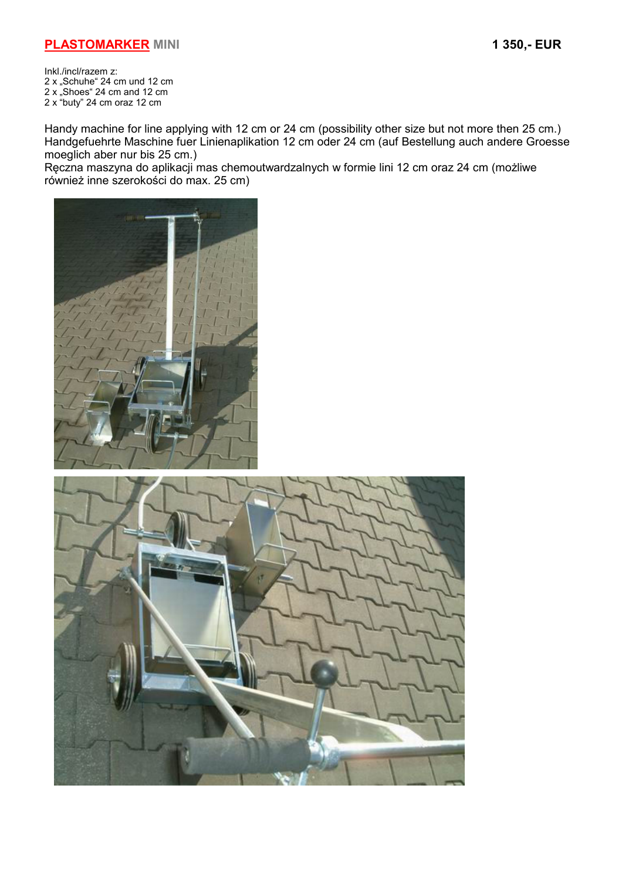Inkl./incl/razem z: 2 x "Schuhe" 24 cm und 12 cm 2 x "Shoes" 24 cm and 12 cm 2 x "buty" 24 cm oraz 12 cm

Handy machine for line applying with 12 cm or 24 cm (possibility other size but not more then 25 cm.) Handgefuehrte Maschine fuer Linienaplikation 12 cm oder 24 cm (auf Bestellung auch andere Groesse moeglich aber nur bis 25 cm.)

Ręczna maszyna do aplikacji mas chemoutwardzalnych w formie lini 12 cm oraz 24 cm (możliwe również inne szerokości do max. 25 cm)